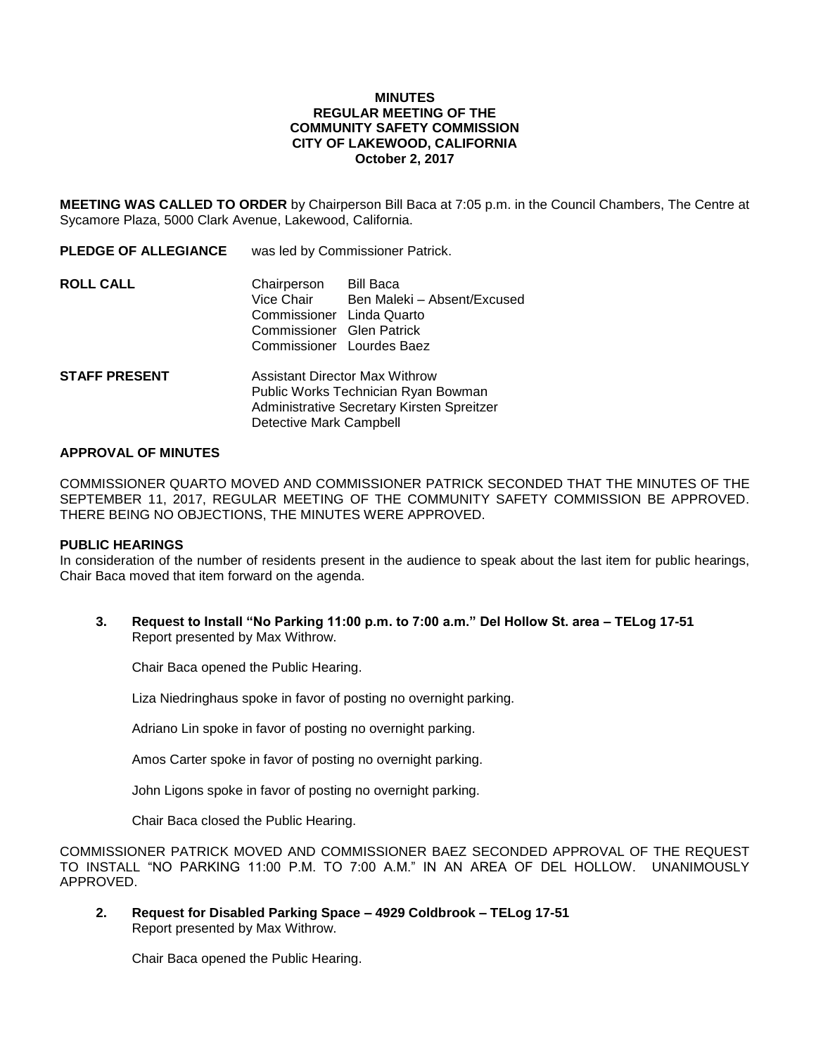## **MINUTES REGULAR MEETING OF THE COMMUNITY SAFETY COMMISSION CITY OF LAKEWOOD, CALIFORNIA October 2, 2017**

**MEETING WAS CALLED TO ORDER** by Chairperson Bill Baca at 7:05 p.m. in the Council Chambers, The Centre at Sycamore Plaza, 5000 Clark Avenue, Lakewood, California.

| <b>PLEDGE OF ALLEGIANCE</b> | was led by Commissioner Patrick.                                                                                    |                                          |
|-----------------------------|---------------------------------------------------------------------------------------------------------------------|------------------------------------------|
| ROLL CALL                   | Chairperson<br>Vice Chair<br>Commissioner Linda Quarto<br>Commissioner Glen Patrick<br>Commissioner Lourdes Baez    | Bill Baca<br>Ben Maleki - Absent/Excused |
| <b>STAFF PRESENT</b>        | Assistant Director Max Withrow<br>Public Works Technician Ryan Bowman<br>Administrative Secretary Kirsten Spreitzer |                                          |

Detective Mark Campbell

#### **APPROVAL OF MINUTES**

COMMISSIONER QUARTO MOVED AND COMMISSIONER PATRICK SECONDED THAT THE MINUTES OF THE SEPTEMBER 11, 2017, REGULAR MEETING OF THE COMMUNITY SAFETY COMMISSION BE APPROVED. THERE BEING NO OBJECTIONS, THE MINUTES WERE APPROVED.

#### **PUBLIC HEARINGS**

In consideration of the number of residents present in the audience to speak about the last item for public hearings, Chair Baca moved that item forward on the agenda.

**3. Request to Install "No Parking 11:00 p.m. to 7:00 a.m." Del Hollow St. area – TELog 17-51** Report presented by Max Withrow.

Chair Baca opened the Public Hearing.

Liza Niedringhaus spoke in favor of posting no overnight parking.

Adriano Lin spoke in favor of posting no overnight parking.

Amos Carter spoke in favor of posting no overnight parking.

John Ligons spoke in favor of posting no overnight parking.

Chair Baca closed the Public Hearing.

COMMISSIONER PATRICK MOVED AND COMMISSIONER BAEZ SECONDED APPROVAL OF THE REQUEST TO INSTALL "NO PARKING 11:00 P.M. TO 7:00 A.M." IN AN AREA OF DEL HOLLOW. UNANIMOUSLY APPROVED.

**2. Request for Disabled Parking Space – 4929 Coldbrook – TELog 17-51** Report presented by Max Withrow.

Chair Baca opened the Public Hearing.